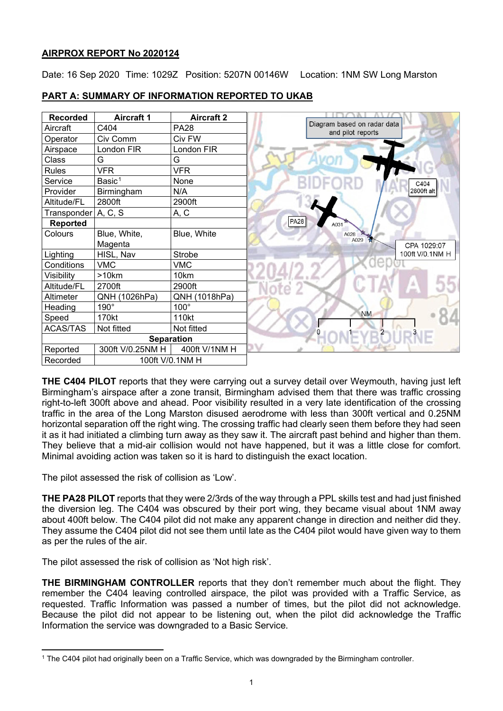# **AIRPROX REPORT No 2020124**

Date: 16 Sep 2020 Time: 1029Z Position: 5207N 00146W Location: 1NM SW Long Marston



# **PART A: SUMMARY OF INFORMATION REPORTED TO UKAB**

**THE C404 PILOT** reports that they were carrying out a survey detail over Weymouth, having just left Birmingham's airspace after a zone transit, Birmingham advised them that there was traffic crossing right-to-left 300ft above and ahead. Poor visibility resulted in a very late identification of the crossing traffic in the area of the Long Marston disused aerodrome with less than 300ft vertical and 0.25NM horizontal separation off the right wing. The crossing traffic had clearly seen them before they had seen it as it had initiated a climbing turn away as they saw it. The aircraft past behind and higher than them. They believe that a mid-air collision would not have happened, but it was a little close for comfort. Minimal avoiding action was taken so it is hard to distinguish the exact location.

The pilot assessed the risk of collision as 'Low'.

**THE PA28 PILOT** reports that they were 2/3rds of the way through a PPL skills test and had just finished the diversion leg. The C404 was obscured by their port wing, they became visual about 1NM away about 400ft below. The C404 pilot did not make any apparent change in direction and neither did they. They assume the C404 pilot did not see them until late as the C404 pilot would have given way to them as per the rules of the air.

The pilot assessed the risk of collision as 'Not high risk'.

**THE BIRMINGHAM CONTROLLER** reports that they don't remember much about the flight. They remember the C404 leaving controlled airspace, the pilot was provided with a Traffic Service, as requested. Traffic Information was passed a number of times, but the pilot did not acknowledge. Because the pilot did not appear to be listening out, when the pilot did acknowledge the Traffic Information the service was downgraded to a Basic Service.

<span id="page-0-0"></span><sup>1</sup> The C404 pilot had originally been on a Traffic Service, which was downgraded by the Birmingham controller.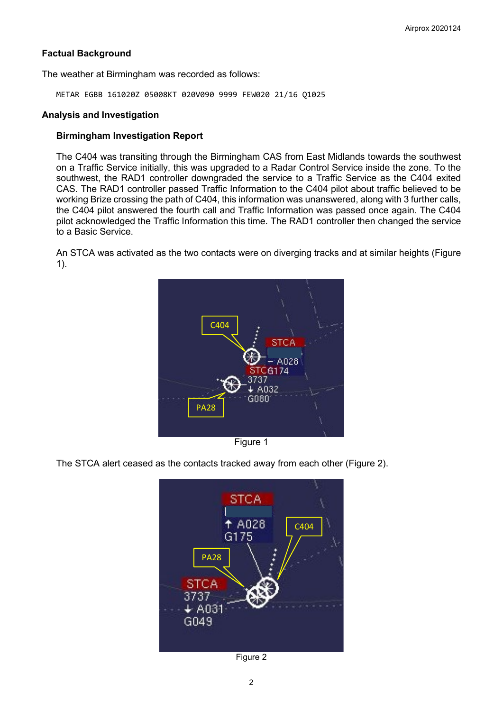## **Factual Background**

The weather at Birmingham was recorded as follows:

METAR EGBB 161020Z 05008KT 020V090 9999 FEW020 21/16 Q1025

#### **Analysis and Investigation**

### **Birmingham Investigation Report**

The C404 was transiting through the Birmingham CAS from East Midlands towards the southwest on a Traffic Service initially, this was upgraded to a Radar Control Service inside the zone. To the southwest, the RAD1 controller downgraded the service to a Traffic Service as the C404 exited CAS. The RAD1 controller passed Traffic Information to the C404 pilot about traffic believed to be working Brize crossing the path of C404, this information was unanswered, along with 3 further calls, the C404 pilot answered the fourth call and Traffic Information was passed once again. The C404 pilot acknowledged the Traffic Information this time. The RAD1 controller then changed the service to a Basic Service.

An STCA was activated as the two contacts were on diverging tracks and at similar heights (Figure 1).



Figure 1

The STCA alert ceased as the contacts tracked away from each other (Figure 2).



Figure 2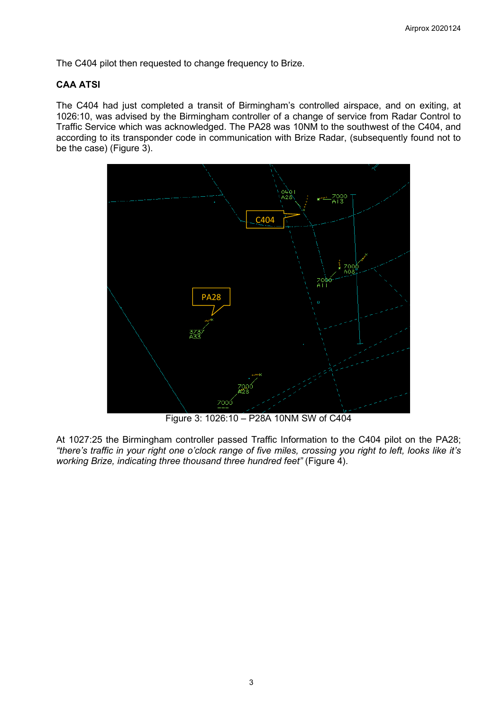The C404 pilot then requested to change frequency to Brize.

## **CAA ATSI**

The C404 had just completed a transit of Birmingham's controlled airspace, and on exiting, at 1026:10, was advised by the Birmingham controller of a change of service from Radar Control to Traffic Service which was acknowledged. The PA28 was 10NM to the southwest of the C404, and according to its transponder code in communication with Brize Radar, (subsequently found not to be the case) (Figure 3).



Figure 3: 1026:10 – P28A 10NM SW of C404

At 1027:25 the Birmingham controller passed Traffic Information to the C404 pilot on the PA28; *"there's traffic in your right one o'clock range of five miles, crossing you right to left, looks like it's working Brize, indicating three thousand three hundred feet"* (Figure 4).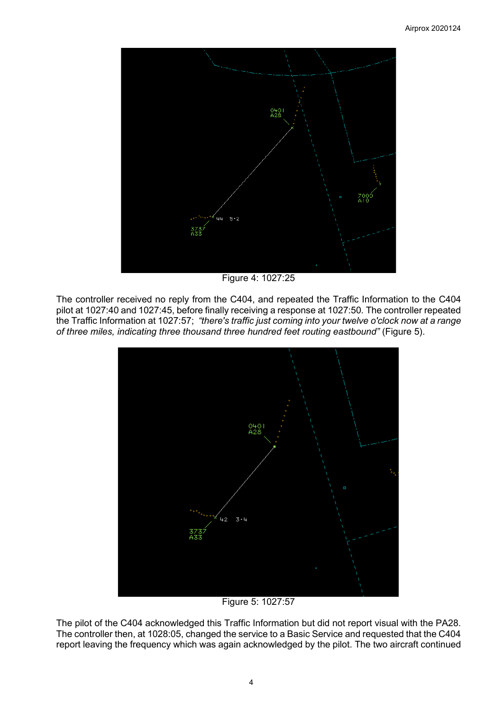

Figure 4: 1027:25

The controller received no reply from the C404, and repeated the Traffic Information to the C404 pilot at 1027:40 and 1027:45, before finally receiving a response at 1027:50. The controller repeated the Traffic Information at 1027:57; *"there's traffic just coming into your twelve o'clock now at a range of three miles, indicating three thousand three hundred feet routing eastbound"* (Figure 5).



Figure 5: 1027:57

The pilot of the C404 acknowledged this Traffic Information but did not report visual with the PA28. The controller then, at 1028:05, changed the service to a Basic Service and requested that the C404 report leaving the frequency which was again acknowledged by the pilot. The two aircraft continued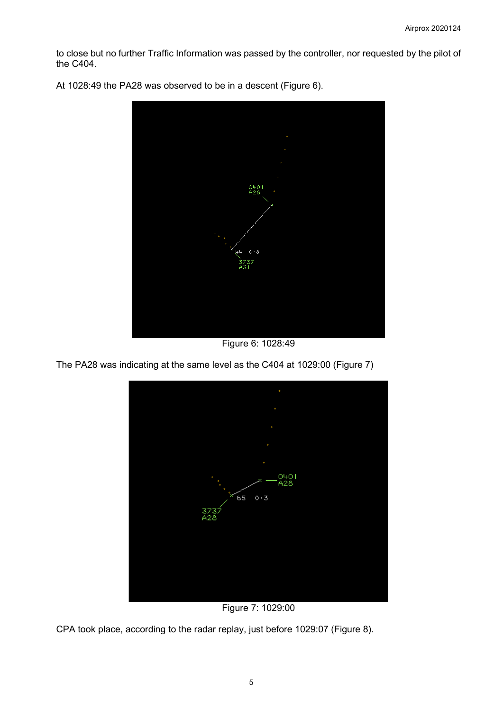to close but no further Traffic Information was passed by the controller, nor requested by the pilot of the C404.



At 1028:49 the PA28 was observed to be in a descent (Figure 6).

Figure 6: 1028:49

The PA28 was indicating at the same level as the C404 at 1029:00 (Figure 7)



Figure 7: 1029:00

CPA took place, according to the radar replay, just before 1029:07 (Figure 8).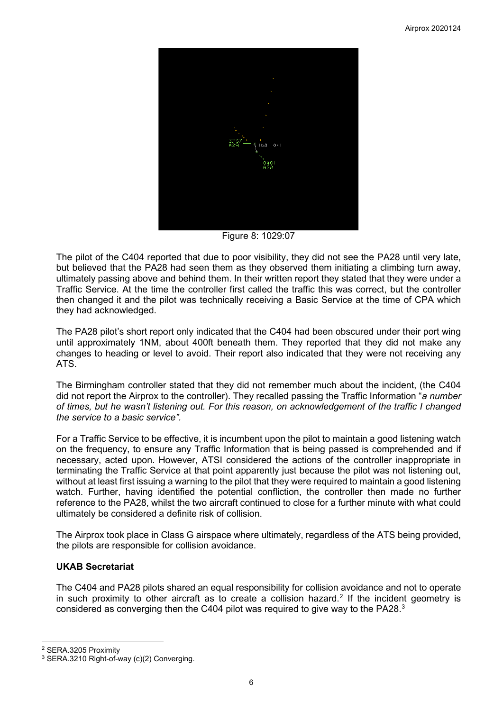

Figure 8: 1029:07

The pilot of the C404 reported that due to poor visibility, they did not see the PA28 until very late, but believed that the PA28 had seen them as they observed them initiating a climbing turn away, ultimately passing above and behind them. In their written report they stated that they were under a Traffic Service. At the time the controller first called the traffic this was correct, but the controller then changed it and the pilot was technically receiving a Basic Service at the time of CPA which they had acknowledged.

The PA28 pilot's short report only indicated that the C404 had been obscured under their port wing until approximately 1NM, about 400ft beneath them. They reported that they did not make any changes to heading or level to avoid. Their report also indicated that they were not receiving any ATS.

The Birmingham controller stated that they did not remember much about the incident, (the C404 did not report the Airprox to the controller). They recalled passing the Traffic Information "*a number of times, but he wasn't listening out. For this reason, on acknowledgement of the traffic I changed the service to a basic service".*

For a Traffic Service to be effective, it is incumbent upon the pilot to maintain a good listening watch on the frequency, to ensure any Traffic Information that is being passed is comprehended and if necessary, acted upon. However, ATSI considered the actions of the controller inappropriate in terminating the Traffic Service at that point apparently just because the pilot was not listening out, without at least first issuing a warning to the pilot that they were required to maintain a good listening watch. Further, having identified the potential confliction, the controller then made no further reference to the PA28, whilst the two aircraft continued to close for a further minute with what could ultimately be considered a definite risk of collision.

The Airprox took place in Class G airspace where ultimately, regardless of the ATS being provided, the pilots are responsible for collision avoidance.

# **UKAB Secretariat**

The C404 and PA28 pilots shared an equal responsibility for collision avoidance and not to operate in such proximity to other aircraft as to create a collision hazard.<sup>[2](#page-5-0)</sup> If the incident geometry is considered as converging then the C404 pilot was required to give way to the PA28. $^{\rm 3}$  $^{\rm 3}$  $^{\rm 3}$ 

<span id="page-5-0"></span><sup>2</sup> SERA.3205 Proximity

<span id="page-5-1"></span><sup>3</sup> SERA.3210 Right-of-way (c)(2) Converging.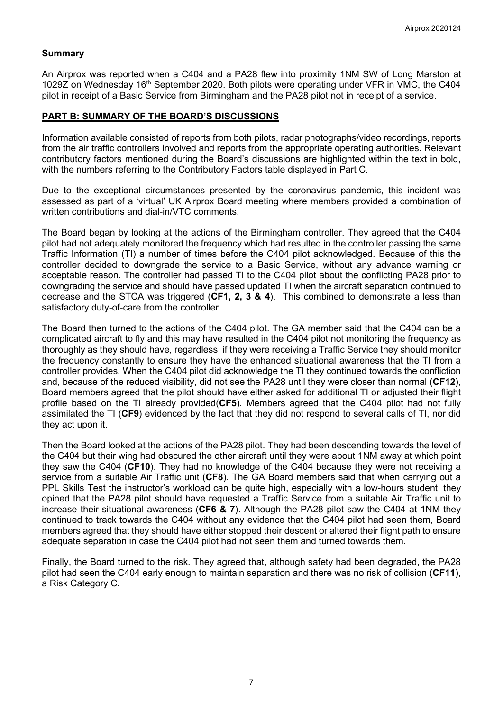### **Summary**

An Airprox was reported when a C404 and a PA28 flew into proximity 1NM SW of Long Marston at 1029Z on Wednesday 16th September 2020. Both pilots were operating under VFR in VMC, the C404 pilot in receipt of a Basic Service from Birmingham and the PA28 pilot not in receipt of a service.

#### **PART B: SUMMARY OF THE BOARD'S DISCUSSIONS**

Information available consisted of reports from both pilots, radar photographs/video recordings, reports from the air traffic controllers involved and reports from the appropriate operating authorities. Relevant contributory factors mentioned during the Board's discussions are highlighted within the text in bold, with the numbers referring to the Contributory Factors table displayed in Part C.

Due to the exceptional circumstances presented by the coronavirus pandemic, this incident was assessed as part of a 'virtual' UK Airprox Board meeting where members provided a combination of written contributions and dial-in/VTC comments.

The Board began by looking at the actions of the Birmingham controller. They agreed that the C404 pilot had not adequately monitored the frequency which had resulted in the controller passing the same Traffic Information (TI) a number of times before the C404 pilot acknowledged. Because of this the controller decided to downgrade the service to a Basic Service, without any advance warning or acceptable reason. The controller had passed TI to the C404 pilot about the conflicting PA28 prior to downgrading the service and should have passed updated TI when the aircraft separation continued to decrease and the STCA was triggered (**CF1, 2, 3 & 4**). This combined to demonstrate a less than satisfactory duty-of-care from the controller.

The Board then turned to the actions of the C404 pilot. The GA member said that the C404 can be a complicated aircraft to fly and this may have resulted in the C404 pilot not monitoring the frequency as thoroughly as they should have, regardless, if they were receiving a Traffic Service they should monitor the frequency constantly to ensure they have the enhanced situational awareness that the TI from a controller provides. When the C404 pilot did acknowledge the TI they continued towards the confliction and, because of the reduced visibility, did not see the PA28 until they were closer than normal (**CF12**), Board members agreed that the pilot should have either asked for additional TI or adjusted their flight profile based on the TI already provided(**CF5**). Members agreed that the C404 pilot had not fully assimilated the TI (**CF9**) evidenced by the fact that they did not respond to several calls of TI, nor did they act upon it.

Then the Board looked at the actions of the PA28 pilot. They had been descending towards the level of the C404 but their wing had obscured the other aircraft until they were about 1NM away at which point they saw the C404 (**CF10**). They had no knowledge of the C404 because they were not receiving a service from a suitable Air Traffic unit (**CF8**). The GA Board members said that when carrying out a PPL Skills Test the instructor's workload can be quite high, especially with a low-hours student, they opined that the PA28 pilot should have requested a Traffic Service from a suitable Air Traffic unit to increase their situational awareness (**CF6 & 7**). Although the PA28 pilot saw the C404 at 1NM they continued to track towards the C404 without any evidence that the C404 pilot had seen them, Board members agreed that they should have either stopped their descent or altered their flight path to ensure adequate separation in case the C404 pilot had not seen them and turned towards them.

Finally, the Board turned to the risk. They agreed that, although safety had been degraded, the PA28 pilot had seen the C404 early enough to maintain separation and there was no risk of collision (**CF11**), a Risk Category C.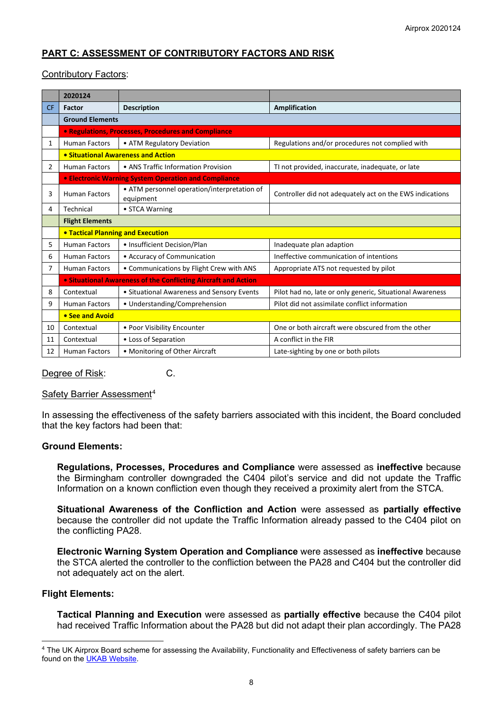# **PART C: ASSESSMENT OF CONTRIBUTORY FACTORS AND RISK**

#### Contributory Factors:

|           | 2020124                                                        |                                                          |                                                           |  |  |  |  |  |  |
|-----------|----------------------------------------------------------------|----------------------------------------------------------|-----------------------------------------------------------|--|--|--|--|--|--|
| <b>CF</b> | Factor                                                         | <b>Description</b>                                       | <b>Amplification</b>                                      |  |  |  |  |  |  |
|           | <b>Ground Elements</b>                                         |                                                          |                                                           |  |  |  |  |  |  |
|           |                                                                | • Regulations, Processes, Procedures and Compliance      |                                                           |  |  |  |  |  |  |
| 1         | <b>Human Factors</b>                                           | • ATM Regulatory Deviation                               | Regulations and/or procedures not complied with           |  |  |  |  |  |  |
|           | • Situational Awareness and Action                             |                                                          |                                                           |  |  |  |  |  |  |
| 2         | <b>Human Factors</b>                                           | • ANS Traffic Information Provision                      | TI not provided, inaccurate, inadequate, or late          |  |  |  |  |  |  |
|           |                                                                | • Electronic Warning System Operation and Compliance     |                                                           |  |  |  |  |  |  |
| 3         | <b>Human Factors</b>                                           | • ATM personnel operation/interpretation of<br>equipment | Controller did not adequately act on the EWS indications  |  |  |  |  |  |  |
| 4         | Technical                                                      | • STCA Warning                                           |                                                           |  |  |  |  |  |  |
|           | <b>Flight Elements</b>                                         |                                                          |                                                           |  |  |  |  |  |  |
|           | <b>. Tactical Planning and Execution</b>                       |                                                          |                                                           |  |  |  |  |  |  |
| 5         | <b>Human Factors</b>                                           | • Insufficient Decision/Plan                             | Inadequate plan adaption                                  |  |  |  |  |  |  |
| 6         | <b>Human Factors</b>                                           | • Accuracy of Communication                              | Ineffective communication of intentions                   |  |  |  |  |  |  |
| 7         | <b>Human Factors</b>                                           | • Communications by Flight Crew with ANS                 | Appropriate ATS not requested by pilot                    |  |  |  |  |  |  |
|           | • Situational Awareness of the Conflicting Aircraft and Action |                                                          |                                                           |  |  |  |  |  |  |
| 8         | Contextual                                                     | • Situational Awareness and Sensory Events               | Pilot had no, late or only generic, Situational Awareness |  |  |  |  |  |  |
| 9         | <b>Human Factors</b>                                           | • Understanding/Comprehension                            | Pilot did not assimilate conflict information             |  |  |  |  |  |  |
|           | • See and Avoid                                                |                                                          |                                                           |  |  |  |  |  |  |
| 10        | Contextual                                                     | • Poor Visibility Encounter                              | One or both aircraft were obscured from the other         |  |  |  |  |  |  |
| 11        | Contextual                                                     | • Loss of Separation                                     | A conflict in the FIR                                     |  |  |  |  |  |  |
| 12        | <b>Human Factors</b>                                           | • Monitoring of Other Aircraft                           | Late-sighting by one or both pilots                       |  |  |  |  |  |  |

Degree of Risk: C.

#### Safety Barrier Assessment<sup>[4](#page-7-0)</sup>

In assessing the effectiveness of the safety barriers associated with this incident, the Board concluded that the key factors had been that:

#### **Ground Elements:**

**Regulations, Processes, Procedures and Compliance** were assessed as **ineffective** because the Birmingham controller downgraded the C404 pilot's service and did not update the Traffic Information on a known confliction even though they received a proximity alert from the STCA.

**Situational Awareness of the Confliction and Action** were assessed as **partially effective** because the controller did not update the Traffic Information already passed to the C404 pilot on the conflicting PA28.

**Electronic Warning System Operation and Compliance** were assessed as **ineffective** because the STCA alerted the controller to the confliction between the PA28 and C404 but the controller did not adequately act on the alert.

#### **Flight Elements:**

**Tactical Planning and Execution** were assessed as **partially effective** because the C404 pilot had received Traffic Information about the PA28 but did not adapt their plan accordingly. The PA28

<span id="page-7-0"></span><sup>4</sup> The UK Airprox Board scheme for assessing the Availability, Functionality and Effectiveness of safety barriers can be found on the [UKAB Website.](http://www.airproxboard.org.uk/Learn-more/Airprox-Barrier-Assessment/)